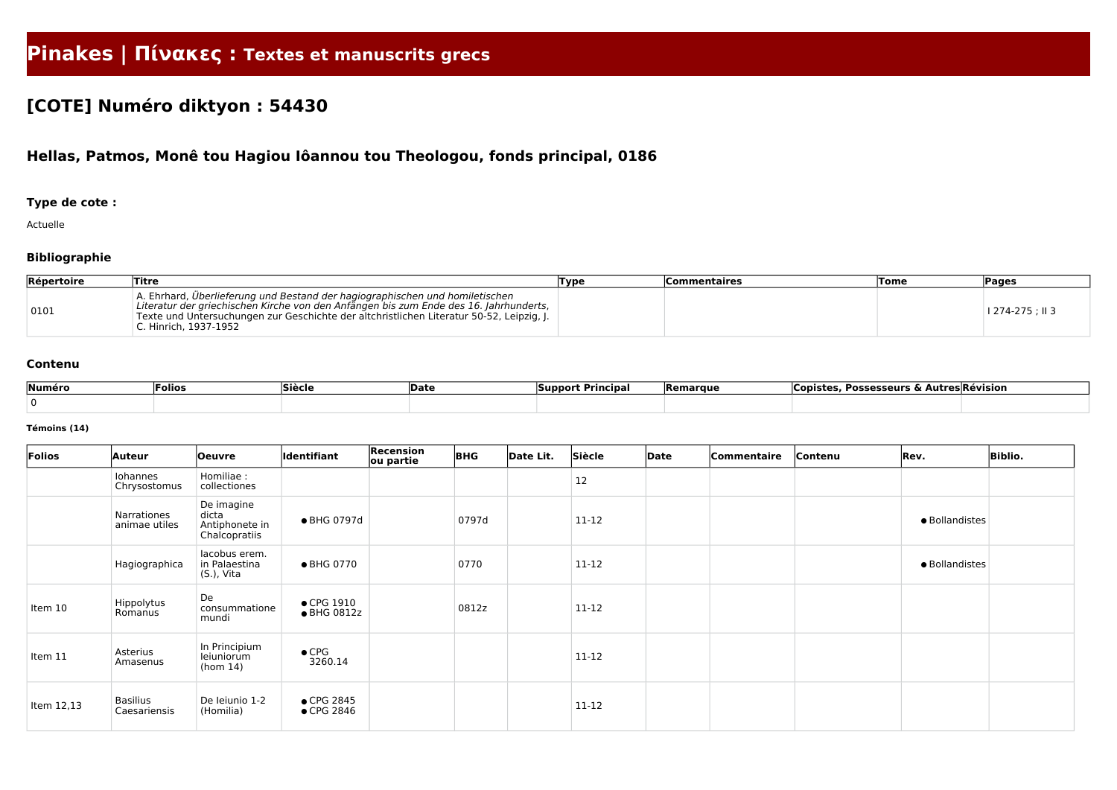# **Pinakes | Πίνακες : Textes et manuscrits grecs**

# **[COTE] Numéro diktyon : 54430**

## **Hellas, Patmos, Monê tou Hagiou Iôannou tou Theologou, fonds principal, 0186**

### **Type de cote :**

Actuelle

### **Bibliographie**

| Répertoire | Titre                                                                                                                                                                                                                                                                                      | Type | Commentaires | <b>Tome</b> | <b>Pages</b>     |
|------------|--------------------------------------------------------------------------------------------------------------------------------------------------------------------------------------------------------------------------------------------------------------------------------------------|------|--------------|-------------|------------------|
| 0101       | A. Ehrhard, Überlieferung und Bestand der hagiographischen und homiletischen<br>Literatur der griechischen Kirche von den Anfängen bis zum Ende des 16. Jahrhunderts,<br>Texte und Untersuchungen zur Geschichte der altchristlichen Literatur 50-52, Leipzig, J.<br>C. Hinrich, 1937-1952 |      |              |             | l 274-275 ; II 3 |

#### **Contenu**

| Numéro | <b>Siècle</b><br><b>Date</b><br> Folios |  | Principal<br><b>Support</b> | , Possesseurs & Autres Révision<br><b>Remarque</b><br><b>Copiste</b> |  |  |
|--------|-----------------------------------------|--|-----------------------------|----------------------------------------------------------------------|--|--|
|        |                                         |  |                             |                                                                      |  |  |

#### **Témoins (14)**

| Folios     | Auteur                          | <b>Oeuvre</b>                                          | ldentifiant                       | <b>Recension</b><br>ou partie | <b>BHG</b> | Date Lit. | Siècle    | Date | Commentaire | Contenu | Rev.           | <b>Biblio.</b> |
|------------|---------------------------------|--------------------------------------------------------|-----------------------------------|-------------------------------|------------|-----------|-----------|------|-------------|---------|----------------|----------------|
|            | Iohannes<br>Chrysostomus        | Homiliae :<br>collectiones                             |                                   |                               |            |           | 12        |      |             |         |                |                |
|            | Narrationes<br>animae utiles    | De imagine<br>dicta<br>Antiphonete in<br>Chalcopratiis | • BHG 0797d                       |                               | 0797d      |           | 11-12     |      |             |         | · Bollandistes |                |
|            | Hagiographica                   | lacobus erem.<br>in Palaestina<br>(S.), Vita           | • BHG 0770                        |                               | 0770       |           | $11 - 12$ |      |             |         | · Bollandistes |                |
| Item 10    | Hippolytus<br>Romanus           | De<br>consummatione<br>mundi                           | $\bullet$ CPG 1910<br>• BHG 0812z |                               | 0812z      |           | 11-12     |      |             |         |                |                |
| Item 11    | Asterius<br>Amasenus            | In Principium<br>leiuniorum<br>(hom 14)                | $\bullet$ CPG<br>3260.14          |                               |            |           | 11-12     |      |             |         |                |                |
| Item 12,13 | <b>Basilius</b><br>Caesariensis | De leiunio 1-2<br>(Homilia)                            | • CPG 2845<br>$\bullet$ CPG 2846  |                               |            |           | 11-12     |      |             |         |                |                |